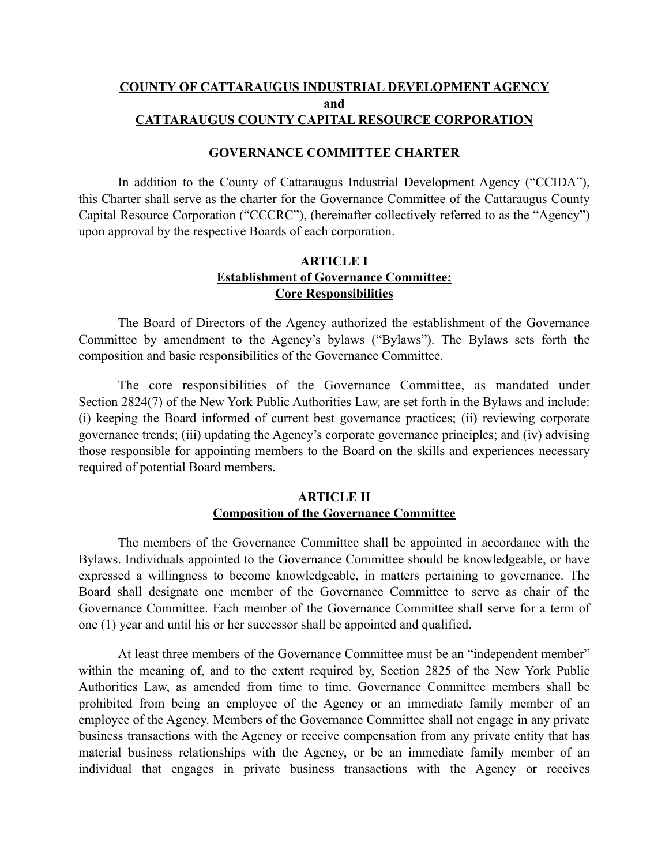# **COUNTY OF CATTARAUGUS INDUSTRIAL DEVELOPMENT AGENCY and CATTARAUGUS COUNTY CAPITAL RESOURCE CORPORATION**

## **GOVERNANCE COMMITTEE CHARTER**

In addition to the County of Cattaraugus Industrial Development Agency ("CCIDA"), this Charter shall serve as the charter for the Governance Committee of the Cattaraugus County Capital Resource Corporation ("CCCRC"), (hereinafter collectively referred to as the "Agency") upon approval by the respective Boards of each corporation.

# **ARTICLE I Establishment of Governance Committee; Core Responsibilities**

The Board of Directors of the Agency authorized the establishment of the Governance Committee by amendment to the Agency's bylaws ("Bylaws"). The Bylaws sets forth the composition and basic responsibilities of the Governance Committee.

The core responsibilities of the Governance Committee, as mandated under Section 2824(7) of the New York Public Authorities Law, are set forth in the Bylaws and include: (i) keeping the Board informed of current best governance practices; (ii) reviewing corporate governance trends; (iii) updating the Agency's corporate governance principles; and (iv) advising those responsible for appointing members to the Board on the skills and experiences necessary required of potential Board members.

## **ARTICLE II Composition of the Governance Committee**

The members of the Governance Committee shall be appointed in accordance with the Bylaws. Individuals appointed to the Governance Committee should be knowledgeable, or have expressed a willingness to become knowledgeable, in matters pertaining to governance. The Board shall designate one member of the Governance Committee to serve as chair of the Governance Committee. Each member of the Governance Committee shall serve for a term of one (1) year and until his or her successor shall be appointed and qualified.

At least three members of the Governance Committee must be an "independent member" within the meaning of, and to the extent required by, Section 2825 of the New York Public Authorities Law, as amended from time to time. Governance Committee members shall be prohibited from being an employee of the Agency or an immediate family member of an employee of the Agency. Members of the Governance Committee shall not engage in any private business transactions with the Agency or receive compensation from any private entity that has material business relationships with the Agency, or be an immediate family member of an individual that engages in private business transactions with the Agency or receives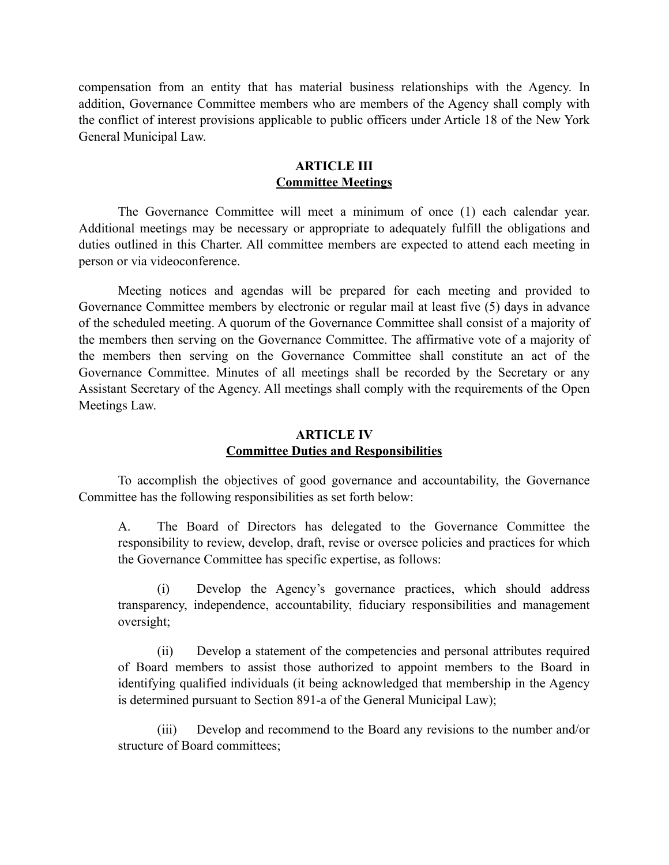compensation from an entity that has material business relationships with the Agency. In addition, Governance Committee members who are members of the Agency shall comply with the conflict of interest provisions applicable to public officers under Article 18 of the New York General Municipal Law.

## **ARTICLE III Committee Meetings**

The Governance Committee will meet a minimum of once (1) each calendar year. Additional meetings may be necessary or appropriate to adequately fulfill the obligations and duties outlined in this Charter. All committee members are expected to attend each meeting in person or via videoconference.

Meeting notices and agendas will be prepared for each meeting and provided to Governance Committee members by electronic or regular mail at least five (5) days in advance of the scheduled meeting. A quorum of the Governance Committee shall consist of a majority of the members then serving on the Governance Committee. The affirmative vote of a majority of the members then serving on the Governance Committee shall constitute an act of the Governance Committee. Minutes of all meetings shall be recorded by the Secretary or any Assistant Secretary of the Agency. All meetings shall comply with the requirements of the Open Meetings Law.

## **ARTICLE IV Committee Duties and Responsibilities**

To accomplish the objectives of good governance and accountability, the Governance Committee has the following responsibilities as set forth below:

A. The Board of Directors has delegated to the Governance Committee the responsibility to review, develop, draft, revise or oversee policies and practices for which the Governance Committee has specific expertise, as follows:

(i) Develop the Agency's governance practices, which should address transparency, independence, accountability, fiduciary responsibilities and management oversight;

(ii) Develop a statement of the competencies and personal attributes required of Board members to assist those authorized to appoint members to the Board in identifying qualified individuals (it being acknowledged that membership in the Agency is determined pursuant to Section 891-a of the General Municipal Law);

(iii) Develop and recommend to the Board any revisions to the number and/or structure of Board committees;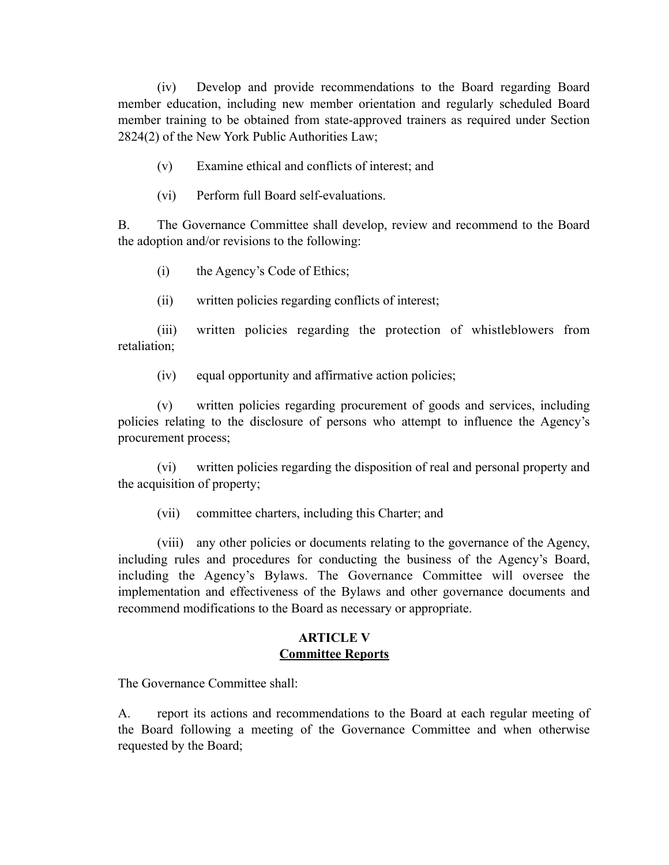(iv) Develop and provide recommendations to the Board regarding Board member education, including new member orientation and regularly scheduled Board member training to be obtained from state-approved trainers as required under Section 2824(2) of the New York Public Authorities Law;

- (v) Examine ethical and conflicts of interest; and
- (vi) Perform full Board self-evaluations.

B. The Governance Committee shall develop, review and recommend to the Board the adoption and/or revisions to the following:

- (i) the Agency's Code of Ethics;
- (ii) written policies regarding conflicts of interest;

(iii) written policies regarding the protection of whistleblowers from retaliation;

(iv) equal opportunity and affirmative action policies;

(v) written policies regarding procurement of goods and services, including policies relating to the disclosure of persons who attempt to influence the Agency's procurement process;

(vi) written policies regarding the disposition of real and personal property and the acquisition of property;

(vii) committee charters, including this Charter; and

(viii) any other policies or documents relating to the governance of the Agency, including rules and procedures for conducting the business of the Agency's Board, including the Agency's Bylaws. The Governance Committee will oversee the implementation and effectiveness of the Bylaws and other governance documents and recommend modifications to the Board as necessary or appropriate.

## **ARTICLE V Committee Reports**

The Governance Committee shall:

A. report its actions and recommendations to the Board at each regular meeting of the Board following a meeting of the Governance Committee and when otherwise requested by the Board;